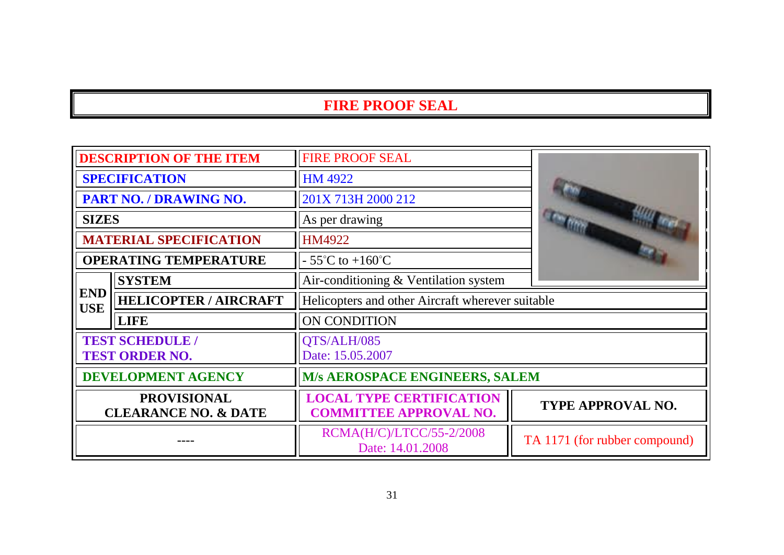| <b>DESCRIPTION OF THE ITEM</b>                        |                               | <b>FIRE PROOF SEAL</b>                                           |                               |
|-------------------------------------------------------|-------------------------------|------------------------------------------------------------------|-------------------------------|
| <b>SPECIFICATION</b>                                  |                               | <b>HM 4922</b>                                                   |                               |
|                                                       | PART NO. / DRAWING NO.        | 201X 713H 2000 212                                               |                               |
| <b>SIZES</b>                                          |                               | As per drawing                                                   |                               |
|                                                       | <b>MATERIAL SPECIFICATION</b> | HM4922                                                           |                               |
|                                                       | <b>OPERATING TEMPERATURE</b>  | $-55^{\circ}$ C to $+160^{\circ}$ C                              |                               |
|                                                       | <b>SYSTEM</b>                 | Air-conditioning & Ventilation system                            |                               |
| <b>END</b><br><b>USE</b>                              | <b>HELICOPTER / AIRCRAFT</b>  | Helicopters and other Aircraft wherever suitable                 |                               |
|                                                       | <b>LIFE</b>                   | ON CONDITION                                                     |                               |
| <b>TEST SCHEDULE /</b><br><b>TEST ORDER NO.</b>       |                               | QTS/ALH/085<br>Date: 15.05.2007                                  |                               |
| <b>DEVELOPMENT AGENCY</b>                             |                               | <b>M/s AEROSPACE ENGINEERS, SALEM</b>                            |                               |
| <b>PROVISIONAL</b><br><b>CLEARANCE NO. &amp; DATE</b> |                               | <b>LOCAL TYPE CERTIFICATION</b><br><b>COMMITTEE APPROVAL NO.</b> | <b>TYPE APPROVAL NO.</b>      |
|                                                       |                               | RCMA(H/C)/LTCC/55-2/2008<br>Date: 14.01.2008                     | TA 1171 (for rubber compound) |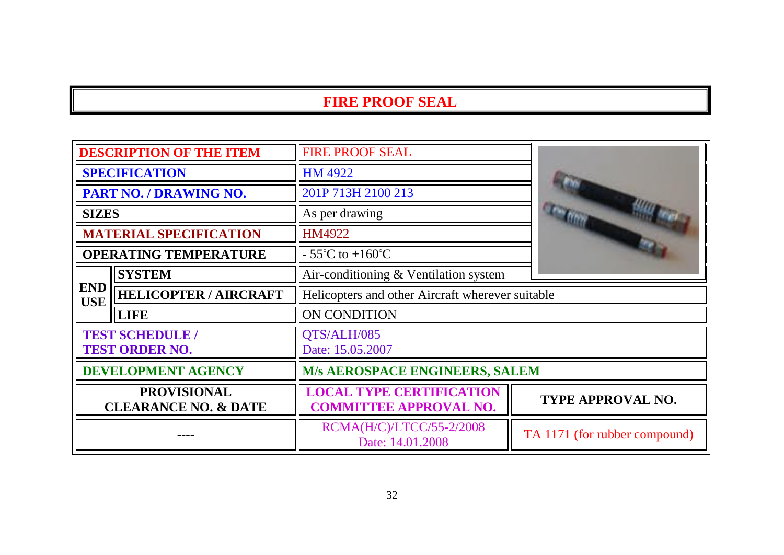| <b>DESCRIPTION OF THE ITEM</b>                        |                               | <b>FIRE PROOF SEAL</b>                                           |                               |
|-------------------------------------------------------|-------------------------------|------------------------------------------------------------------|-------------------------------|
| <b>SPECIFICATION</b>                                  |                               | <b>HM 4922</b>                                                   |                               |
| PART NO. / DRAWING NO.                                |                               | 201P 713H 2100 213                                               |                               |
| <b>SIZES</b>                                          |                               | As per drawing                                                   |                               |
|                                                       | <b>MATERIAL SPECIFICATION</b> | HM4922                                                           |                               |
|                                                       | <b>OPERATING TEMPERATURE</b>  | $-55^{\circ}$ C to $+160^{\circ}$ C                              |                               |
|                                                       | <b>SYSTEM</b>                 | Air-conditioning & Ventilation system                            |                               |
| <b>END</b><br><b>USE</b>                              | <b>HELICOPTER / AIRCRAFT</b>  | Helicopters and other Aircraft wherever suitable                 |                               |
|                                                       | <b>LIFE</b>                   | ON CONDITION                                                     |                               |
| <b>TEST SCHEDULE /</b><br><b>TEST ORDER NO.</b>       |                               | QTS/ALH/085<br>Date: 15.05.2007                                  |                               |
| <b>DEVELOPMENT AGENCY</b>                             |                               | M/s AEROSPACE ENGINEERS, SALEM                                   |                               |
| <b>PROVISIONAL</b><br><b>CLEARANCE NO. &amp; DATE</b> |                               | <b>LOCAL TYPE CERTIFICATION</b><br><b>COMMITTEE APPROVAL NO.</b> | <b>TYPE APPROVAL NO.</b>      |
|                                                       |                               | RCMA(H/C)/LTCC/55-2/2008<br>Date: 14.01.2008                     | TA 1171 (for rubber compound) |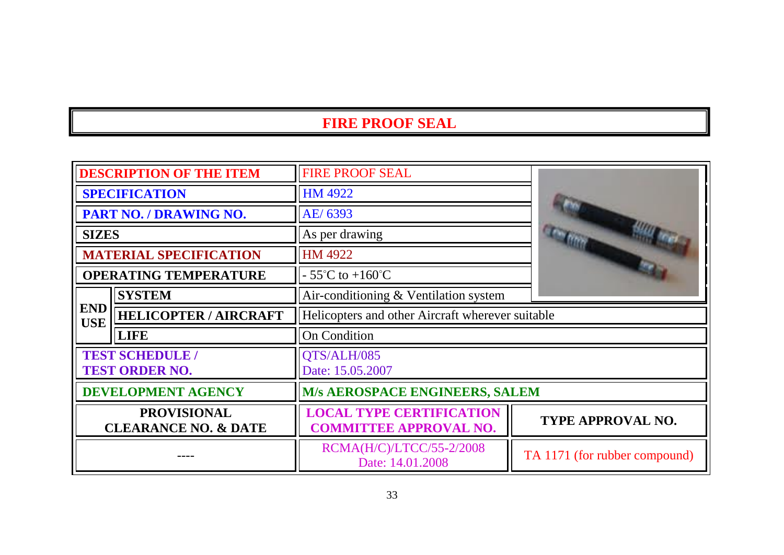| <b>DESCRIPTION OF THE ITEM</b>                        |                               | <b>FIRE PROOF SEAL</b>                                           |                               |
|-------------------------------------------------------|-------------------------------|------------------------------------------------------------------|-------------------------------|
| <b>SPECIFICATION</b>                                  |                               | <b>HM 4922</b>                                                   |                               |
| PART NO. / DRAWING NO.                                |                               | AE/6393                                                          |                               |
| <b>SIZES</b>                                          |                               | As per drawing                                                   |                               |
|                                                       | <b>MATERIAL SPECIFICATION</b> | HM 4922                                                          |                               |
|                                                       | <b>OPERATING TEMPERATURE</b>  | $-55^{\circ}$ C to $+160^{\circ}$ C                              |                               |
|                                                       | <b>SYSTEM</b>                 | Air-conditioning & Ventilation system                            |                               |
| <b>END</b><br><b>USE</b>                              | <b>HELICOPTER / AIRCRAFT</b>  | Helicopters and other Aircraft wherever suitable                 |                               |
|                                                       | <b>LIFE</b>                   | <b>On Condition</b>                                              |                               |
| <b>TEST SCHEDULE /</b><br><b>TEST ORDER NO.</b>       |                               | QTS/ALH/085<br>Date: 15.05.2007                                  |                               |
| <b>DEVELOPMENT AGENCY</b>                             |                               | M/s AEROSPACE ENGINEERS, SALEM                                   |                               |
| <b>PROVISIONAL</b><br><b>CLEARANCE NO. &amp; DATE</b> |                               | <b>LOCAL TYPE CERTIFICATION</b><br><b>COMMITTEE APPROVAL NO.</b> | <b>TYPE APPROVAL NO.</b>      |
|                                                       |                               | RCMA(H/C)/LTCC/55-2/2008<br>Date: 14.01.2008                     | TA 1171 (for rubber compound) |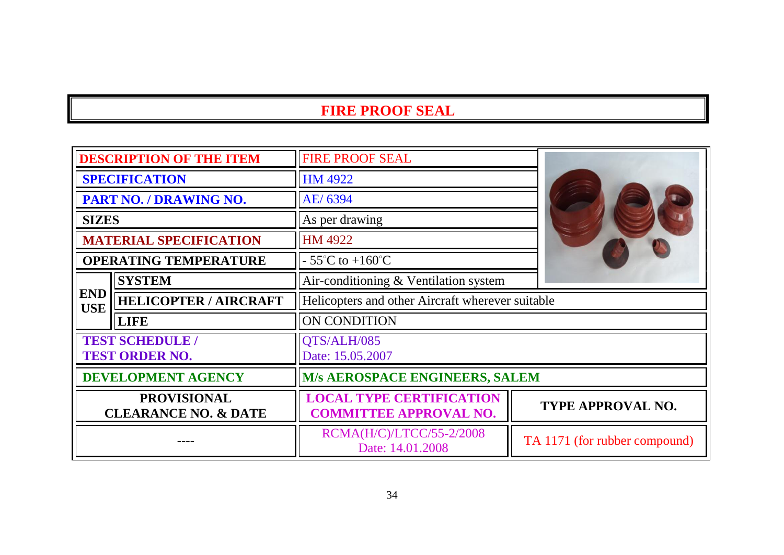|                                                       | <b>DESCRIPTION OF THE ITEM</b>                  | <b>FIRE PROOF SEAL</b>                                           |                               |
|-------------------------------------------------------|-------------------------------------------------|------------------------------------------------------------------|-------------------------------|
| <b>SPECIFICATION</b>                                  |                                                 | <b>HM 4922</b>                                                   |                               |
|                                                       | PART NO. / DRAWING NO.                          | AE/ 6394                                                         |                               |
| <b>SIZES</b>                                          |                                                 | As per drawing                                                   |                               |
|                                                       | <b>MATERIAL SPECIFICATION</b>                   | HM 4922                                                          |                               |
|                                                       | <b>OPERATING TEMPERATURE</b>                    | $-55^{\circ}$ C to $+160^{\circ}$ C                              |                               |
|                                                       | <b>SYSTEM</b>                                   | Air-conditioning & Ventilation system                            |                               |
| <b>END</b><br><b>USE</b>                              | <b>HELICOPTER / AIRCRAFT</b>                    | Helicopters and other Aircraft wherever suitable                 |                               |
|                                                       | <b>LIFE</b>                                     | ON CONDITION                                                     |                               |
|                                                       | <b>TEST SCHEDULE /</b><br><b>TEST ORDER NO.</b> | QTS/ALH/085<br>Date: 15.05.2007                                  |                               |
| <b>DEVELOPMENT AGENCY</b>                             |                                                 | M/s AEROSPACE ENGINEERS, SALEM                                   |                               |
| <b>PROVISIONAL</b><br><b>CLEARANCE NO. &amp; DATE</b> |                                                 | <b>LOCAL TYPE CERTIFICATION</b><br><b>COMMITTEE APPROVAL NO.</b> | TYPE APPROVAL NO.             |
|                                                       |                                                 | RCMA(H/C)/LTCC/55-2/2008<br>Date: 14.01.2008                     | TA 1171 (for rubber compound) |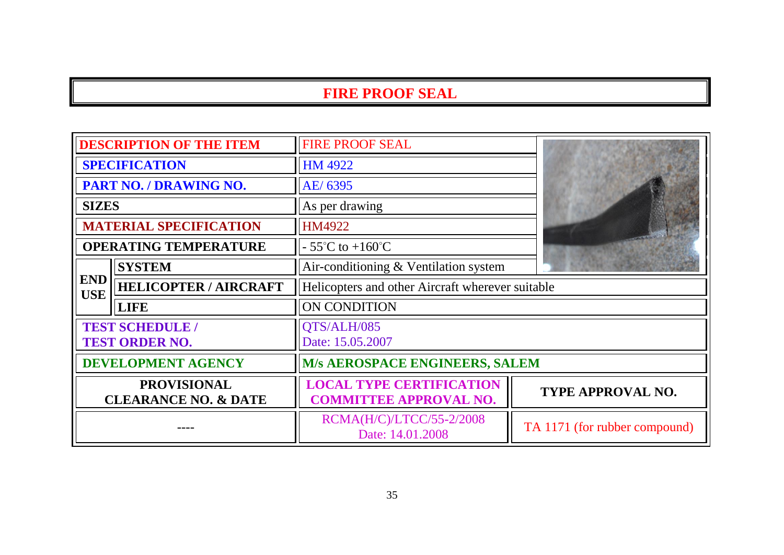| <b>DESCRIPTION OF THE ITEM</b>                        |                               | <b>FIRE PROOF SEAL</b>                                           |                               |
|-------------------------------------------------------|-------------------------------|------------------------------------------------------------------|-------------------------------|
| <b>SPECIFICATION</b>                                  |                               | HM 4922                                                          |                               |
| PART NO. / DRAWING NO.                                |                               | AE/ 6395                                                         |                               |
| <b>SIZES</b>                                          |                               | As per drawing                                                   |                               |
|                                                       | <b>MATERIAL SPECIFICATION</b> | HM4922                                                           |                               |
|                                                       | <b>OPERATING TEMPERATURE</b>  | $-55^{\circ}$ C to $+160^{\circ}$ C                              |                               |
|                                                       | <b>SYSTEM</b>                 | Air-conditioning & Ventilation system                            |                               |
| <b>END</b><br><b>USE</b>                              | <b>HELICOPTER / AIRCRAFT</b>  | Helicopters and other Aircraft wherever suitable                 |                               |
|                                                       | <b>LIFE</b>                   | ON CONDITION                                                     |                               |
| <b>TEST SCHEDULE /</b><br><b>TEST ORDER NO.</b>       |                               | QTS/ALH/085<br>Date: 15.05.2007                                  |                               |
| <b>DEVELOPMENT AGENCY</b>                             |                               | <b>M/s AEROSPACE ENGINEERS, SALEM</b>                            |                               |
| <b>PROVISIONAL</b><br><b>CLEARANCE NO. &amp; DATE</b> |                               | <b>LOCAL TYPE CERTIFICATION</b><br><b>COMMITTEE APPROVAL NO.</b> | <b>TYPE APPROVAL NO.</b>      |
|                                                       |                               | RCMA(H/C)/LTCC/55-2/2008<br>Date: 14.01.2008                     | TA 1171 (for rubber compound) |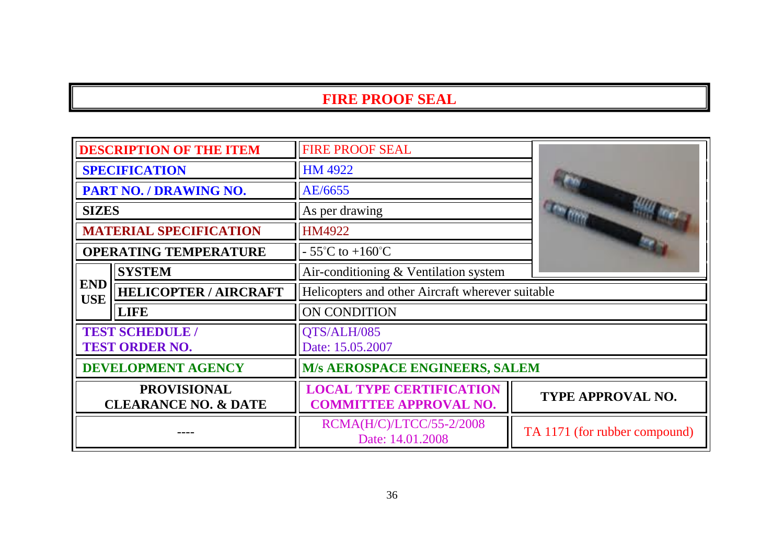| <b>DESCRIPTION OF THE ITEM</b>                        |                                                 | <b>FIRE PROOF SEAL</b>                                           |                               |
|-------------------------------------------------------|-------------------------------------------------|------------------------------------------------------------------|-------------------------------|
| <b>SPECIFICATION</b>                                  |                                                 | <b>HM 4922</b>                                                   |                               |
| PART NO. / DRAWING NO.                                |                                                 | AE/6655                                                          |                               |
| <b>SIZES</b>                                          |                                                 | As per drawing                                                   |                               |
|                                                       | <b>MATERIAL SPECIFICATION</b>                   | HM4922                                                           |                               |
|                                                       | <b>OPERATING TEMPERATURE</b>                    | $-55^{\circ}$ C to $+160^{\circ}$ C                              |                               |
|                                                       | <b>SYSTEM</b>                                   | Air-conditioning & Ventilation system                            |                               |
| <b>END</b><br><b>USE</b>                              | <b>HELICOPTER / AIRCRAFT</b>                    | Helicopters and other Aircraft wherever suitable                 |                               |
|                                                       | <b>LIFE</b>                                     | ON CONDITION                                                     |                               |
|                                                       | <b>TEST SCHEDULE /</b><br><b>TEST ORDER NO.</b> | QTS/ALH/085<br>Date: 15.05.2007                                  |                               |
| <b>DEVELOPMENT AGENCY</b>                             |                                                 | <b>M/s AEROSPACE ENGINEERS, SALEM</b>                            |                               |
| <b>PROVISIONAL</b><br><b>CLEARANCE NO. &amp; DATE</b> |                                                 | <b>LOCAL TYPE CERTIFICATION</b><br><b>COMMITTEE APPROVAL NO.</b> | <b>TYPE APPROVAL NO.</b>      |
|                                                       |                                                 | RCMA(H/C)/LTCC/55-2/2008<br>Date: 14.01.2008                     | TA 1171 (for rubber compound) |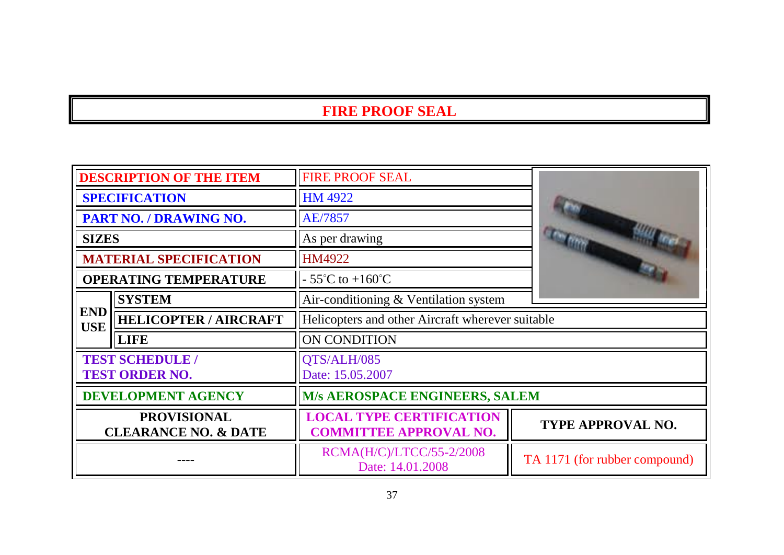| <b>DESCRIPTION OF THE ITEM</b>                        |                                                 | <b>FIRE PROOF SEAL</b>                                           |                               |
|-------------------------------------------------------|-------------------------------------------------|------------------------------------------------------------------|-------------------------------|
| <b>SPECIFICATION</b>                                  |                                                 | HM 4922                                                          |                               |
| PART NO. / DRAWING NO.                                |                                                 | AE/7857                                                          |                               |
| <b>SIZES</b>                                          |                                                 | As per drawing                                                   |                               |
|                                                       | <b>MATERIAL SPECIFICATION</b>                   | HM4922                                                           |                               |
| <b>OPERATING TEMPERATURE</b>                          |                                                 | $-55^{\circ}$ C to $+160^{\circ}$ C                              |                               |
|                                                       | <b>SYSTEM</b>                                   | Air-conditioning & Ventilation system                            |                               |
| <b>END</b><br><b>USE</b>                              | <b>HELICOPTER / AIRCRAFT</b>                    | Helicopters and other Aircraft wherever suitable                 |                               |
|                                                       | <b>LIFE</b>                                     | ON CONDITION                                                     |                               |
|                                                       | <b>TEST SCHEDULE /</b><br><b>TEST ORDER NO.</b> | QTS/ALH/085<br>Date: 15.05.2007                                  |                               |
| <b>DEVELOPMENT AGENCY</b>                             |                                                 | M/s AEROSPACE ENGINEERS, SALEM                                   |                               |
| <b>PROVISIONAL</b><br><b>CLEARANCE NO. &amp; DATE</b> |                                                 | <b>LOCAL TYPE CERTIFICATION</b><br><b>COMMITTEE APPROVAL NO.</b> | <b>TYPE APPROVAL NO.</b>      |
|                                                       |                                                 | RCMA(H/C)/LTCC/55-2/2008<br>Date: 14.01.2008                     | TA 1171 (for rubber compound) |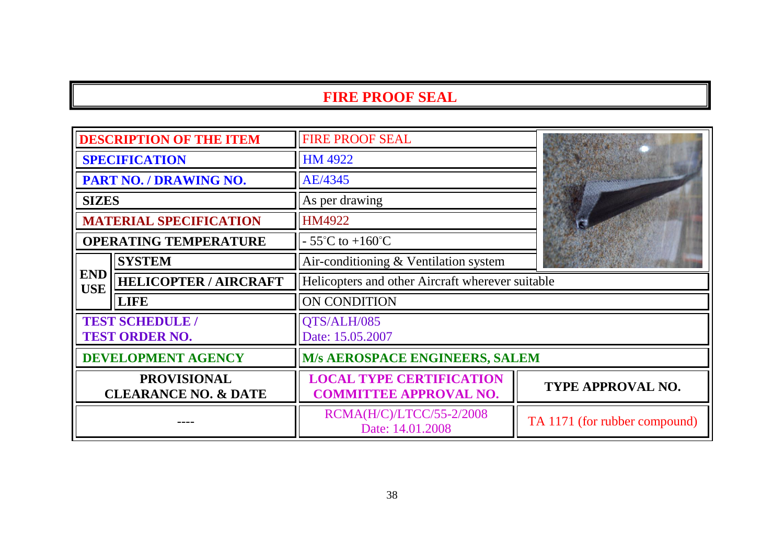| <b>DESCRIPTION OF THE ITEM</b>                        |                                                 | <b>FIRE PROOF SEAL</b>                                           |                               |
|-------------------------------------------------------|-------------------------------------------------|------------------------------------------------------------------|-------------------------------|
| <b>SPECIFICATION</b>                                  |                                                 | HM 4922                                                          |                               |
| PART NO. / DRAWING NO.                                |                                                 | AE/4345                                                          |                               |
| <b>SIZES</b>                                          |                                                 | As per drawing                                                   |                               |
|                                                       | <b>MATERIAL SPECIFICATION</b>                   | <b>HM4922</b>                                                    |                               |
|                                                       | <b>OPERATING TEMPERATURE</b>                    | $-55^{\circ}$ C to $+160^{\circ}$ C                              |                               |
|                                                       | <b>SYSTEM</b>                                   | Air-conditioning $&$ Ventilation system                          |                               |
| <b>END</b><br><b>USE</b>                              | <b>HELICOPTER / AIRCRAFT</b>                    | Helicopters and other Aircraft wherever suitable                 |                               |
|                                                       | <b>LIFE</b>                                     | ON CONDITION                                                     |                               |
|                                                       | <b>TEST SCHEDULE /</b><br><b>TEST ORDER NO.</b> | QTS/ALH/085<br>Date: 15.05.2007                                  |                               |
| <b>DEVELOPMENT AGENCY</b>                             |                                                 | <b>M/s AEROSPACE ENGINEERS, SALEM</b>                            |                               |
| <b>PROVISIONAL</b><br><b>CLEARANCE NO. &amp; DATE</b> |                                                 | <b>LOCAL TYPE CERTIFICATION</b><br><b>COMMITTEE APPROVAL NO.</b> | <b>TYPE APPROVAL NO.</b>      |
|                                                       |                                                 | RCMA(H/C)/LTCC/55-2/2008<br>Date: 14.01.2008                     | TA 1171 (for rubber compound) |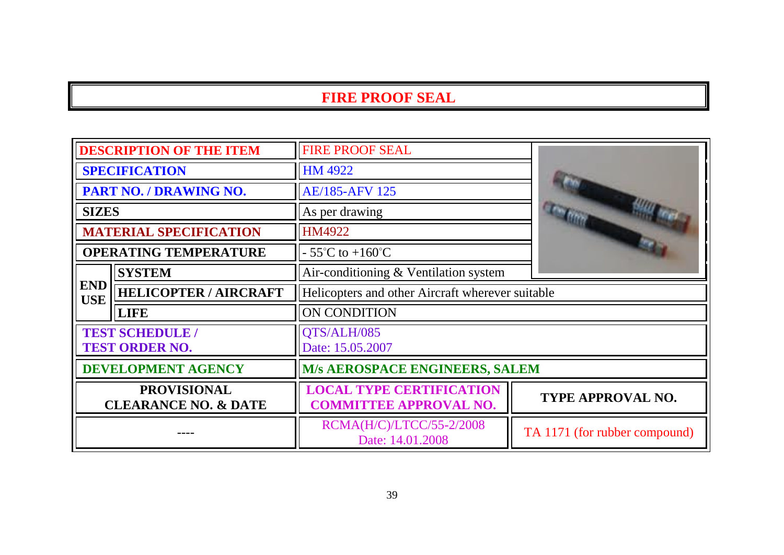| <b>DESCRIPTION OF THE ITEM</b>                        |                                                 | <b>FIRE PROOF SEAL</b>                                           |                               |
|-------------------------------------------------------|-------------------------------------------------|------------------------------------------------------------------|-------------------------------|
| <b>SPECIFICATION</b>                                  |                                                 | <b>HM 4922</b>                                                   |                               |
| PART NO. / DRAWING NO.                                |                                                 | <b>AE/185-AFV 125</b>                                            |                               |
| <b>SIZES</b>                                          |                                                 | As per drawing                                                   |                               |
|                                                       | <b>MATERIAL SPECIFICATION</b>                   | HM4922                                                           |                               |
|                                                       | <b>OPERATING TEMPERATURE</b>                    | $-55^{\circ}$ C to $+160^{\circ}$ C                              |                               |
|                                                       | <b>SYSTEM</b>                                   | Air-conditioning & Ventilation system                            |                               |
| <b>END</b><br><b>USE</b>                              | <b>HELICOPTER / AIRCRAFT</b>                    | Helicopters and other Aircraft wherever suitable                 |                               |
|                                                       | <b>LIFE</b>                                     | ON CONDITION                                                     |                               |
|                                                       | <b>TEST SCHEDULE /</b><br><b>TEST ORDER NO.</b> | QTS/ALH/085<br>Date: 15.05.2007                                  |                               |
| <b>DEVELOPMENT AGENCY</b>                             |                                                 | M/s AEROSPACE ENGINEERS, SALEM                                   |                               |
| <b>PROVISIONAL</b><br><b>CLEARANCE NO. &amp; DATE</b> |                                                 | <b>LOCAL TYPE CERTIFICATION</b><br><b>COMMITTEE APPROVAL NO.</b> | <b>TYPE APPROVAL NO.</b>      |
|                                                       |                                                 | RCMA(H/C)/LTCC/55-2/2008<br>Date: 14.01.2008                     | TA 1171 (for rubber compound) |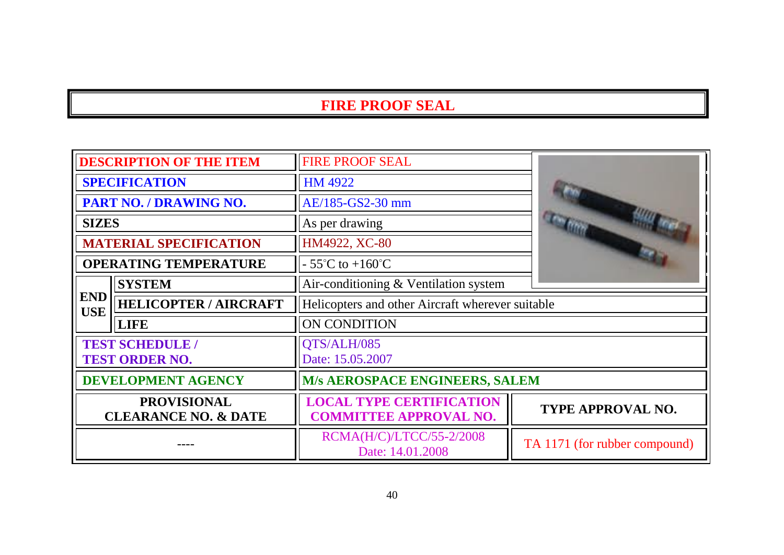| <b>DESCRIPTION OF THE ITEM</b>                        |                               | FIRE PROOF SEAL                                                  |                               |
|-------------------------------------------------------|-------------------------------|------------------------------------------------------------------|-------------------------------|
| <b>SPECIFICATION</b>                                  |                               | <b>HM 4922</b>                                                   |                               |
|                                                       | PART NO. / DRAWING NO.        | AE/185-GS2-30 mm                                                 |                               |
| <b>SIZES</b>                                          |                               | As per drawing                                                   |                               |
|                                                       | <b>MATERIAL SPECIFICATION</b> | HM4922, XC-80                                                    |                               |
|                                                       | <b>OPERATING TEMPERATURE</b>  | $-55^{\circ}$ C to $+160^{\circ}$ C                              |                               |
|                                                       | <b>SYSTEM</b>                 | Air-conditioning & Ventilation system                            |                               |
| <b>END</b><br><b>USE</b>                              | <b>HELICOPTER / AIRCRAFT</b>  | Helicopters and other Aircraft wherever suitable                 |                               |
|                                                       | <b>LIFE</b>                   | ON CONDITION                                                     |                               |
| <b>TEST SCHEDULE /</b><br><b>TEST ORDER NO.</b>       |                               | QTS/ALH/085<br>Date: 15.05.2007                                  |                               |
| <b>DEVELOPMENT AGENCY</b>                             |                               | M/s AEROSPACE ENGINEERS, SALEM                                   |                               |
| <b>PROVISIONAL</b><br><b>CLEARANCE NO. &amp; DATE</b> |                               | <b>LOCAL TYPE CERTIFICATION</b><br><b>COMMITTEE APPROVAL NO.</b> | TYPE APPROVAL NO.             |
|                                                       |                               | RCMA(H/C)/LTCC/55-2/2008<br>Date: 14.01.2008                     | TA 1171 (for rubber compound) |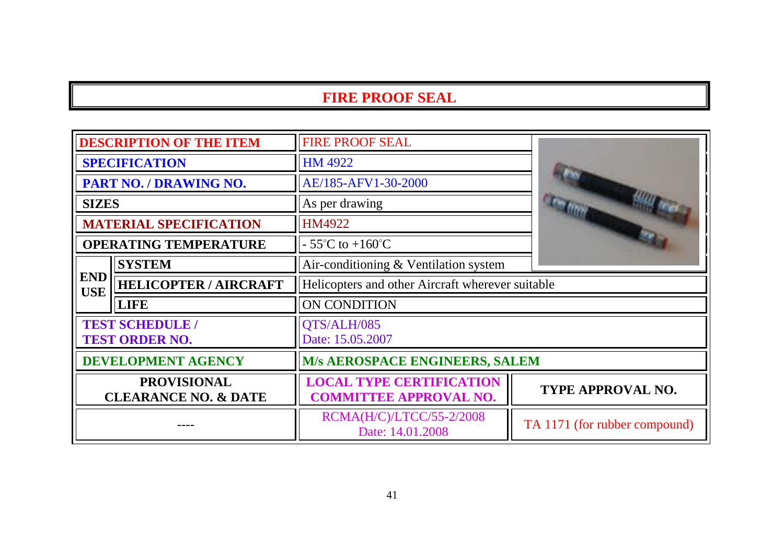| <b>DESCRIPTION OF THE ITEM</b>                        |                               | <b>FIRE PROOF SEAL</b>                                           |                               |
|-------------------------------------------------------|-------------------------------|------------------------------------------------------------------|-------------------------------|
| <b>SPECIFICATION</b>                                  |                               | HM 4922                                                          |                               |
| PART NO. / DRAWING NO.                                |                               | AE/185-AFV1-30-2000                                              |                               |
| <b>SIZES</b>                                          |                               | As per drawing                                                   |                               |
|                                                       | <b>MATERIAL SPECIFICATION</b> | <b>HM4922</b>                                                    |                               |
|                                                       | <b>OPERATING TEMPERATURE</b>  | $-55^{\circ}$ C to $+160^{\circ}$ C                              |                               |
|                                                       | <b>SYSTEM</b>                 | Air-conditioning & Ventilation system                            |                               |
| <b>END</b><br><b>USE</b>                              | <b>HELICOPTER / AIRCRAFT</b>  | Helicopters and other Aircraft wherever suitable                 |                               |
|                                                       | <b>LIFE</b>                   | ON CONDITION                                                     |                               |
| <b>TEST SCHEDULE /</b><br><b>TEST ORDER NO.</b>       |                               | QTS/ALH/085<br>Date: 15.05.2007                                  |                               |
| <b>DEVELOPMENT AGENCY</b>                             |                               | <b>M/s AEROSPACE ENGINEERS, SALEM</b>                            |                               |
| <b>PROVISIONAL</b><br><b>CLEARANCE NO. &amp; DATE</b> |                               | <b>LOCAL TYPE CERTIFICATION</b><br><b>COMMITTEE APPROVAL NO.</b> | <b>TYPE APPROVAL NO.</b>      |
|                                                       |                               | RCMA(H/C)/LTCC/55-2/2008<br>Date: 14.01.2008                     | TA 1171 (for rubber compound) |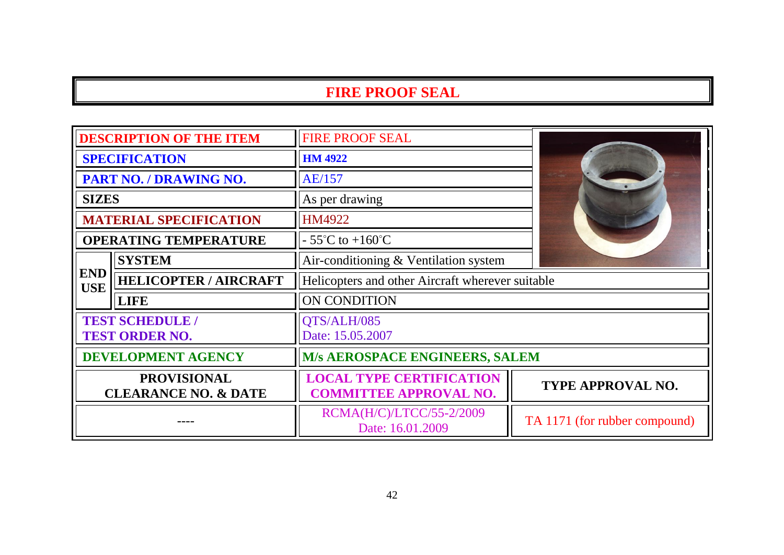| <b>DESCRIPTION OF THE ITEM</b>                        |                               | <b>FIRE PROOF SEAL</b>                                           |                               |
|-------------------------------------------------------|-------------------------------|------------------------------------------------------------------|-------------------------------|
| <b>SPECIFICATION</b>                                  |                               | <b>HM 4922</b>                                                   |                               |
| PART NO. / DRAWING NO.                                |                               | AE/157                                                           |                               |
| <b>SIZES</b>                                          |                               | As per drawing                                                   |                               |
|                                                       | <b>MATERIAL SPECIFICATION</b> | HM4922                                                           |                               |
| <b>OPERATING TEMPERATURE</b>                          |                               | $-55^{\circ}$ C to $+160^{\circ}$ C                              |                               |
|                                                       | <b>SYSTEM</b>                 | Air-conditioning & Ventilation system                            |                               |
| <b>END</b><br><b>USE</b>                              | <b>HELICOPTER / AIRCRAFT</b>  | Helicopters and other Aircraft wherever suitable                 |                               |
|                                                       | <b>LIFE</b>                   | ON CONDITION                                                     |                               |
| <b>TEST SCHEDULE /</b><br><b>TEST ORDER NO.</b>       |                               | QTS/ALH/085<br>Date: 15.05.2007                                  |                               |
| <b>DEVELOPMENT AGENCY</b>                             |                               | <b>M/s AEROSPACE ENGINEERS, SALEM</b>                            |                               |
| <b>PROVISIONAL</b><br><b>CLEARANCE NO. &amp; DATE</b> |                               | <b>LOCAL TYPE CERTIFICATION</b><br><b>COMMITTEE APPROVAL NO.</b> | TYPE APPROVAL NO.             |
|                                                       |                               | RCMA(H/C)/LTCC/55-2/2009<br>Date: 16.01.2009                     | TA 1171 (for rubber compound) |